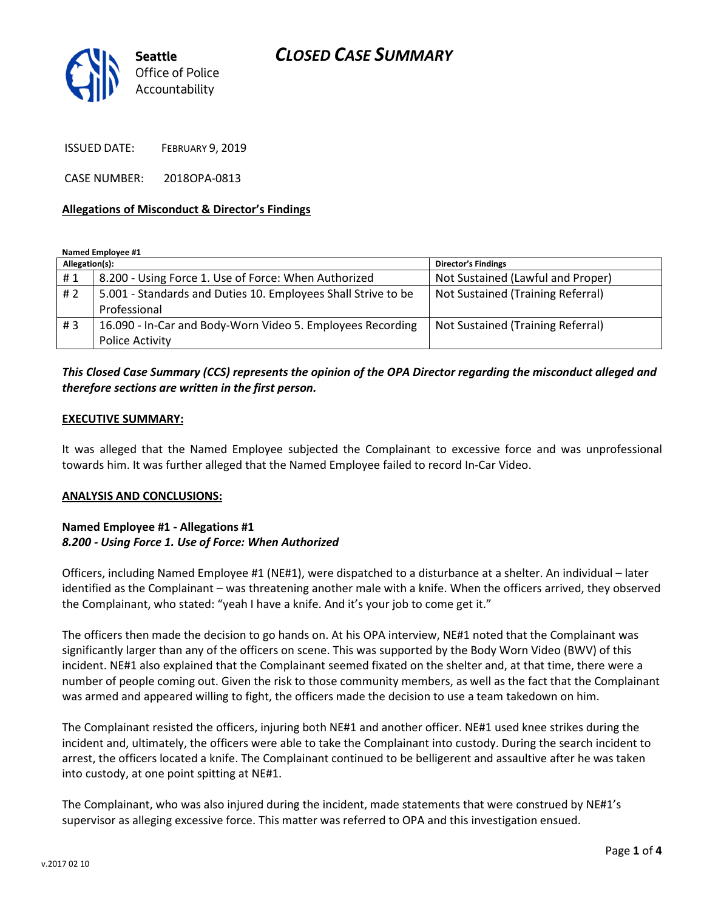# CLOSED CASE SUMMARY



ISSUED DATE: FEBRUARY 9, 2019

CASE NUMBER: 2018OPA-0813

### Allegations of Misconduct & Director's Findings

#### Named Employee #1

| Allegation(s): |                                                               | <b>Director's Findings</b>        |
|----------------|---------------------------------------------------------------|-----------------------------------|
| #1             | 8.200 - Using Force 1. Use of Force: When Authorized          | Not Sustained (Lawful and Proper) |
| # 2            | 5.001 - Standards and Duties 10. Employees Shall Strive to be | Not Sustained (Training Referral) |
|                | Professional                                                  |                                   |
| #3             | 16.090 - In-Car and Body-Worn Video 5. Employees Recording    | Not Sustained (Training Referral) |
|                | <b>Police Activity</b>                                        |                                   |

## This Closed Case Summary (CCS) represents the opinion of the OPA Director regarding the misconduct alleged and therefore sections are written in the first person.

#### EXECUTIVE SUMMARY:

It was alleged that the Named Employee subjected the Complainant to excessive force and was unprofessional towards him. It was further alleged that the Named Employee failed to record In-Car Video.

#### ANALYSIS AND CONCLUSIONS:

### Named Employee #1 - Allegations #1 8.200 - Using Force 1. Use of Force: When Authorized

Officers, including Named Employee #1 (NE#1), were dispatched to a disturbance at a shelter. An individual – later identified as the Complainant – was threatening another male with a knife. When the officers arrived, they observed the Complainant, who stated: "yeah I have a knife. And it's your job to come get it."

The officers then made the decision to go hands on. At his OPA interview, NE#1 noted that the Complainant was significantly larger than any of the officers on scene. This was supported by the Body Worn Video (BWV) of this incident. NE#1 also explained that the Complainant seemed fixated on the shelter and, at that time, there were a number of people coming out. Given the risk to those community members, as well as the fact that the Complainant was armed and appeared willing to fight, the officers made the decision to use a team takedown on him.

The Complainant resisted the officers, injuring both NE#1 and another officer. NE#1 used knee strikes during the incident and, ultimately, the officers were able to take the Complainant into custody. During the search incident to arrest, the officers located a knife. The Complainant continued to be belligerent and assaultive after he was taken into custody, at one point spitting at NE#1.

The Complainant, who was also injured during the incident, made statements that were construed by NE#1's supervisor as alleging excessive force. This matter was referred to OPA and this investigation ensued.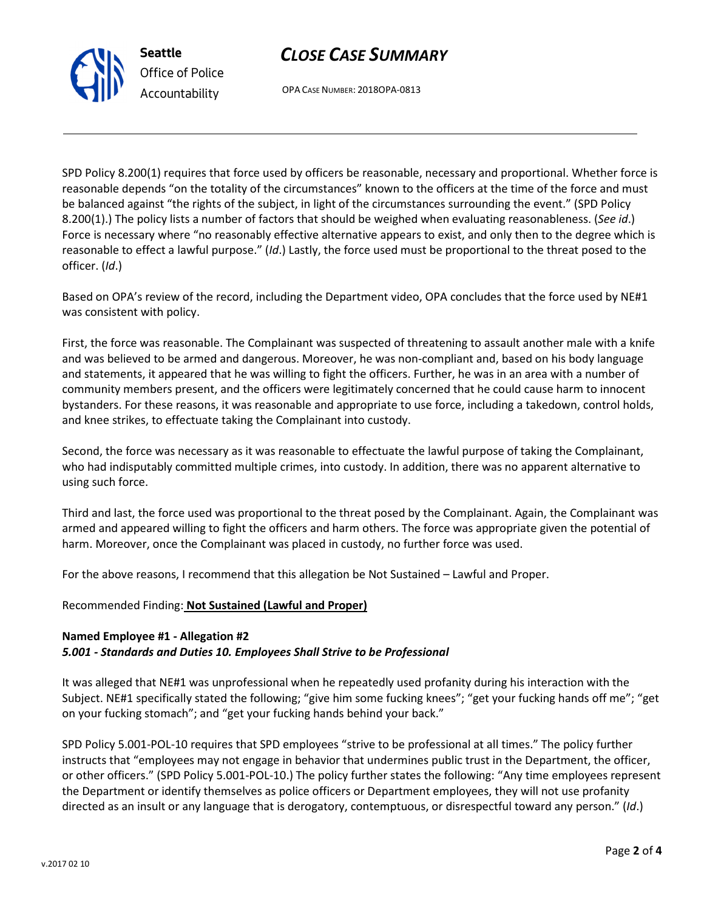# CLOSE CASE SUMMARY

OPA CASE NUMBER: 2018OPA-0813

SPD Policy 8.200(1) requires that force used by officers be reasonable, necessary and proportional. Whether force is reasonable depends "on the totality of the circumstances" known to the officers at the time of the force and must be balanced against "the rights of the subject, in light of the circumstances surrounding the event." (SPD Policy 8.200(1).) The policy lists a number of factors that should be weighed when evaluating reasonableness. (See id.) Force is necessary where "no reasonably effective alternative appears to exist, and only then to the degree which is reasonable to effect a lawful purpose." (Id.) Lastly, the force used must be proportional to the threat posed to the officer. (Id.)

Based on OPA's review of the record, including the Department video, OPA concludes that the force used by NE#1 was consistent with policy.

First, the force was reasonable. The Complainant was suspected of threatening to assault another male with a knife and was believed to be armed and dangerous. Moreover, he was non-compliant and, based on his body language and statements, it appeared that he was willing to fight the officers. Further, he was in an area with a number of community members present, and the officers were legitimately concerned that he could cause harm to innocent bystanders. For these reasons, it was reasonable and appropriate to use force, including a takedown, control holds, and knee strikes, to effectuate taking the Complainant into custody.

Second, the force was necessary as it was reasonable to effectuate the lawful purpose of taking the Complainant, who had indisputably committed multiple crimes, into custody. In addition, there was no apparent alternative to using such force.

Third and last, the force used was proportional to the threat posed by the Complainant. Again, the Complainant was armed and appeared willing to fight the officers and harm others. The force was appropriate given the potential of harm. Moreover, once the Complainant was placed in custody, no further force was used.

For the above reasons, I recommend that this allegation be Not Sustained – Lawful and Proper.

Recommended Finding: Not Sustained (Lawful and Proper)

### Named Employee #1 - Allegation #2

### 5.001 - Standards and Duties 10. Employees Shall Strive to be Professional

It was alleged that NE#1 was unprofessional when he repeatedly used profanity during his interaction with the Subject. NE#1 specifically stated the following; "give him some fucking knees"; "get your fucking hands off me"; "get on your fucking stomach"; and "get your fucking hands behind your back."

SPD Policy 5.001-POL-10 requires that SPD employees "strive to be professional at all times." The policy further instructs that "employees may not engage in behavior that undermines public trust in the Department, the officer, or other officers." (SPD Policy 5.001-POL-10.) The policy further states the following: "Any time employees represent the Department or identify themselves as police officers or Department employees, they will not use profanity directed as an insult or any language that is derogatory, contemptuous, or disrespectful toward any person." (Id.)



Seattle Office of Police Accountability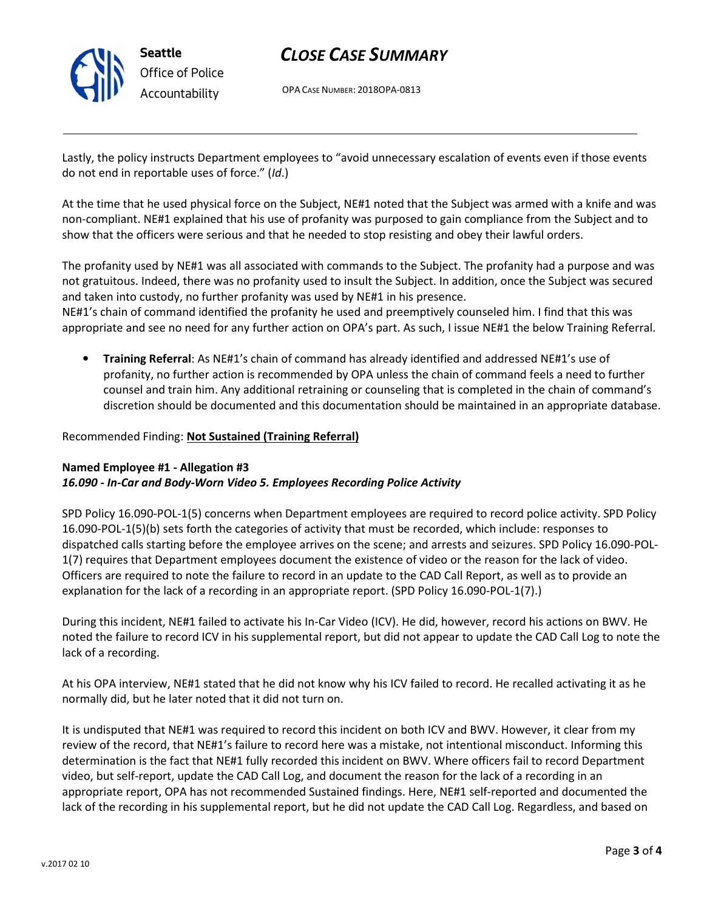

## CLOSE CASE SUMMARY

OPA CASE NUMBER: 2018OPA-0813

Lastly, the policy instructs Department employees to "avoid unnecessary escalation of events even if those events do not end in reportable uses of force." (Id.)

At the time that he used physical force on the Subject, NE#1 noted that the Subject was armed with a knife and was non-compliant. NE#1 explained that his use of profanity was purposed to gain compliance from the Subject and to show that the officers were serious and that he needed to stop resisting and obey their lawful orders.

The profanity used by NE#1 was all associated with commands to the Subject. The profanity had a purpose and was not gratuitous. Indeed, there was no profanity used to insult the Subject. In addition, once the Subject was secured and taken into custody, no further profanity was used by NE#1 in his presence.

NE#1's chain of command identified the profanity he used and preemptively counseled him. I find that this was appropriate and see no need for any further action on OPA's part. As such, I issue NE#1 the below Training Referral.

• Training Referral: As NE#1's chain of command has already identified and addressed NE#1's use of profanity, no further action is recommended by OPA unless the chain of command feels a need to further counsel and train him. Any additional retraining or counseling that is completed in the chain of command's discretion should be documented and this documentation should be maintained in an appropriate database.

### Recommended Finding: Not Sustained (Training Referral)

### Named Employee #1 - Allegation #3 16.090 - In-Car and Body-Worn Video 5. Employees Recording Police Activity

SPD Policy 16.090-POL-1(5) concerns when Department employees are required to record police activity. SPD Policy 16.090-POL-1(5)(b) sets forth the categories of activity that must be recorded, which include: responses to dispatched calls starting before the employee arrives on the scene; and arrests and seizures. SPD Policy 16.090-POL-1(7) requires that Department employees document the existence of video or the reason for the lack of video. Officers are required to note the failure to record in an update to the CAD Call Report, as well as to provide an explanation for the lack of a recording in an appropriate report. (SPD Policy 16.090-POL-1(7).)

During this incident, NE#1 failed to activate his In-Car Video (ICV). He did, however, record his actions on BWV. He noted the failure to record ICV in his supplemental report, but did not appear to update the CAD Call Log to note the lack of a recording.

At his OPA interview, NE#1 stated that he did not know why his ICV failed to record. He recalled activating it as he normally did, but he later noted that it did not turn on.

It is undisputed that NE#1 was required to record this incident on both ICV and BWV. However, it clear from my review of the record, that NE#1's failure to record here was a mistake, not intentional misconduct. Informing this determination is the fact that NE#1 fully recorded this incident on BWV. Where officers fail to record Department video, but self-report, update the CAD Call Log, and document the reason for the lack of a recording in an appropriate report, OPA has not recommended Sustained findings. Here, NE#1 self-reported and documented the lack of the recording in his supplemental report, but he did not update the CAD Call Log. Regardless, and based on